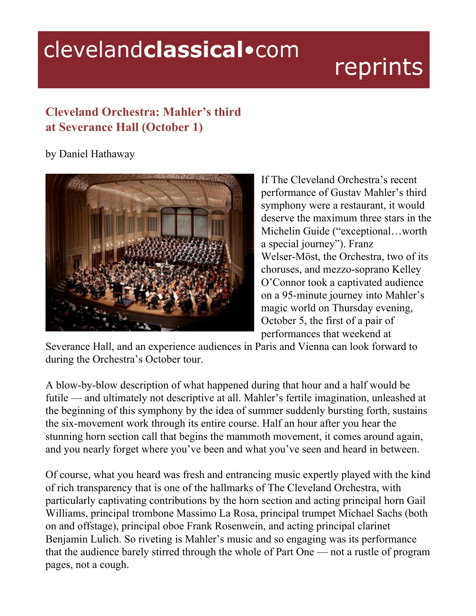## clevelandclassical.com

## reprints

## **Cleveland Orchestra: Mahler's third at Severance Hall (October 1)**

by Daniel Hathaway



If The Cleveland Orchestra's recent performance of Gustav Mahler's third symphony were a restaurant, it would deserve the maximum three stars in the Michelin Guide ("exceptional…worth a special journey"). Franz Welser-Möst, the Orchestra, two of its choruses, and mezzo-soprano Kelley O'Connor took a captivated audience on a 95-minute journey into Mahler's magic world on Thursday evening, October 5, the first of a pair of performances that weekend at

Severance Hall, and an experience audiences in Paris and Vienna can look forward to during the Orchestra's October tour.

A blow-by-blow description of what happened during that hour and a half would be futile — and ultimately not descriptive at all. Mahler's fertile imagination, unleashed at the beginning of this symphony by the idea of summer suddenly bursting forth, sustains the six-movement work through its entire course. Half an hour after you hear the stunning horn section call that begins the mammoth movement, it comes around again, and you nearly forget where you've been and what you've seen and heard in between.

Of course, what you heard was fresh and entrancing music expertly played with the kind of rich transparency that is one of the hallmarks of The Cleveland Orchestra, with particularly captivating contributions by the horn section and acting principal horn Gail Williams, principal trombone Massimo La Rosa, principal trumpet Michael Sachs (both on and offstage), principal oboe Frank Rosenwein, and acting principal clarinet Benjamin Lulich. So riveting is Mahler's music and so engaging was its performance that the audience barely stirred through the whole of Part One — not a rustle of program pages, not a cough.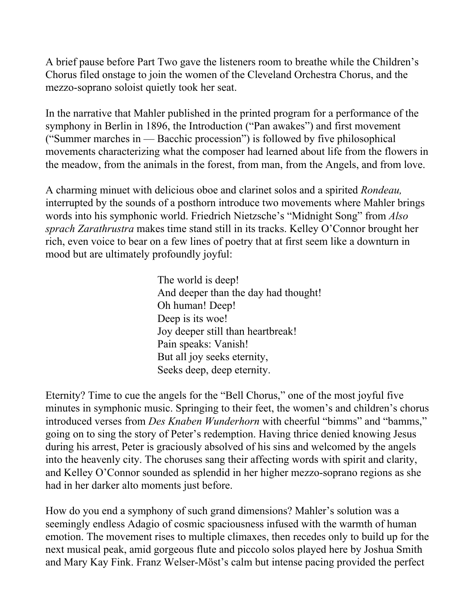A brief pause before Part Two gave the listeners room to breathe while the Children's Chorus filed onstage to join the women of the Cleveland Orchestra Chorus, and the mezzo-soprano soloist quietly took her seat.

In the narrative that Mahler published in the printed program for a performance of the symphony in Berlin in 1896, the Introduction ("Pan awakes") and first movement ("Summer marches in — Bacchic procession") is followed by five philosophical movements characterizing what the composer had learned about life from the flowers in the meadow, from the animals in the forest, from man, from the Angels, and from love.

A charming minuet with delicious oboe and clarinet solos and a spirited *Rondeau,* interrupted by the sounds of a posthorn introduce two movements where Mahler brings words into his symphonic world. Friedrich Nietzsche's "Midnight Song" from *Also sprach Zarathrustra* makes time stand still in its tracks. Kelley O'Connor brought her rich, even voice to bear on a few lines of poetry that at first seem like a downturn in mood but are ultimately profoundly joyful:

> The world is deep! And deeper than the day had thought! Oh human! Deep! Deep is its woe! Joy deeper still than heartbreak! Pain speaks: Vanish! But all joy seeks eternity, Seeks deep, deep eternity.

Eternity? Time to cue the angels for the "Bell Chorus," one of the most joyful five minutes in symphonic music. Springing to their feet, the women's and children's chorus introduced verses from *Des Knaben Wunderhorn* with cheerful "bimms" and "bamms," going on to sing the story of Peter's redemption. Having thrice denied knowing Jesus during his arrest, Peter is graciously absolved of his sins and welcomed by the angels into the heavenly city. The choruses sang their affecting words with spirit and clarity, and Kelley O'Connor sounded as splendid in her higher mezzo-soprano regions as she had in her darker alto moments just before.

How do you end a symphony of such grand dimensions? Mahler's solution was a seemingly endless Adagio of cosmic spaciousness infused with the warmth of human emotion. The movement rises to multiple climaxes, then recedes only to build up for the next musical peak, amid gorgeous flute and piccolo solos played here by Joshua Smith and Mary Kay Fink. Franz Welser-Möst's calm but intense pacing provided the perfect